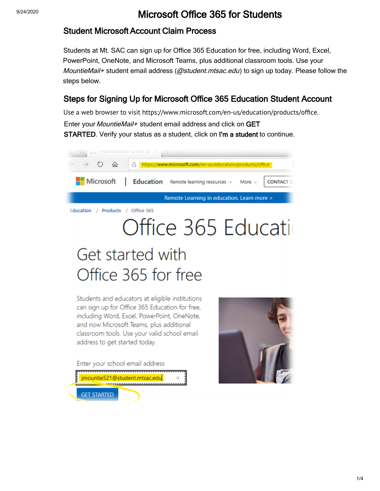### 9/24/2020 **Microsoft Office 365 for Students**

#### Student Microsoft Account Claim Process

Students at Mt. SAC can sign up for Office 365 Education for free, including Word, Excel, PowerPoint, OneNote, and Microsoft Teams, plus additional classroom tools. Use your MountieMail+ student email address ( $@student.mtsac.edu$ ) to sign up today. Please follow the st[eps below.](https://helpdesk.mtsac.edu/KnowledgeBase/Listing#/category/Software/e9b3fe1e-e4fc-ea18-ccf0-787ce7a8345c)

#### Steps for Signing Up for Microsoft Office 365 Education Student Account

Use a web browser to visit<https://www.microsoft.com/en-us/education/products/office>. Enter your *MountieMail+* student email address and click on GET STARTED. Verify your status as a student, click on I'm a student to continue.

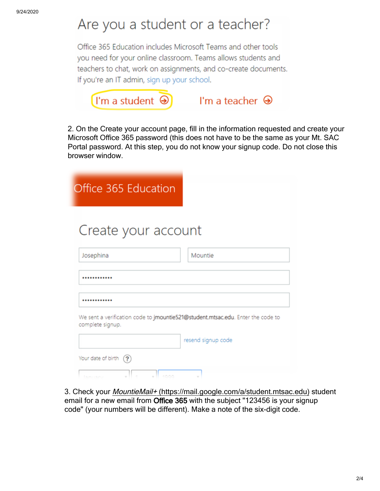# Are you a student or a teacher?

Office 365 Education includes Microsoft Teams and other tools you need for your online classroom. Teams allows students and teachers to chat, work on assignments, and co-create documents. If you're an IT admin, sign up your school.



2. On the Create your account page, fill in the information requested and create your Microsoft Office 365 password (this does not have to be the same as your Mt. SAC Portal password. At this step, you do not know your signup code. Do not close this browser window.

| Office 365 Education                                                                                |                    |
|-----------------------------------------------------------------------------------------------------|--------------------|
| Create your account                                                                                 |                    |
| Josephina                                                                                           | Mountie            |
|                                                                                                     |                    |
|                                                                                                     |                    |
| We sent a verification code to jmountie521@student.mtsac.edu. Enter the code to<br>complete signup. |                    |
|                                                                                                     | resend signup code |
| Your date of birth<br>(2)<br>1000<br>lanijani                                                       |                    |

3. Check your MountieMail+ [\(https://mail.google.com/a/student.mtsac.edu](https://mail.google.com/a/student.mtsac.edu)) student email for a new email from Office 365 with the subject "123456 is your signup code" (your numbers will be different). Make a note of the six-digit code.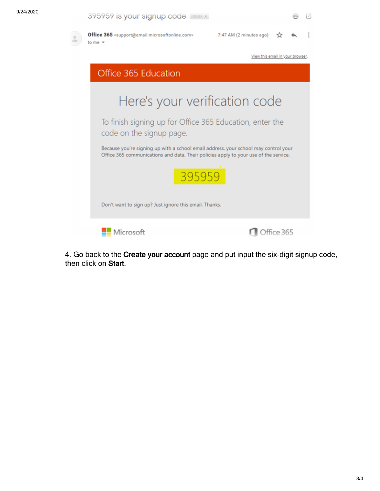| 395959 is your signup code linbox x                                                                                                                                         |                                  |            |  |  |
|-----------------------------------------------------------------------------------------------------------------------------------------------------------------------------|----------------------------------|------------|--|--|
| Office 365 <support@email.microsoftonline.com><br/>to me <math>\,</math></support@email.microsoftonline.com>                                                                | 7:47 AM (2 minutes ago)          |            |  |  |
|                                                                                                                                                                             | View this email in your browser. |            |  |  |
| Office 365 Education                                                                                                                                                        |                                  |            |  |  |
| Here's your verification code                                                                                                                                               |                                  |            |  |  |
| To finish signing up for Office 365 Education, enter the<br>code on the signup page.                                                                                        |                                  |            |  |  |
| Because you're signing up with a school email address, your school may control your<br>Office 365 communications and data. Their policies apply to your use of the service. |                                  |            |  |  |
| 395959                                                                                                                                                                      |                                  |            |  |  |
| Don't want to sign up? Just ignore this email. Thanks.                                                                                                                      |                                  |            |  |  |
| Microsoft                                                                                                                                                                   |                                  | Office 365 |  |  |

4. Go back to the Create your account page and put input the six-digit signup code, then click on Start.